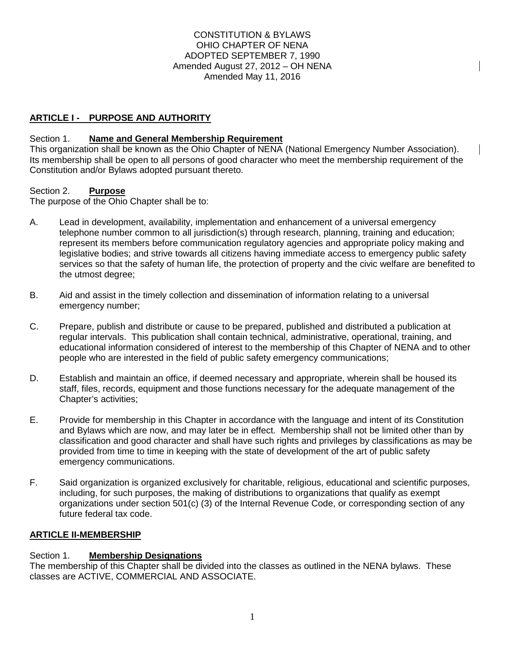#### CONSTITUTION & BYLAWS OHIO CHAPTER OF NENA ADOPTED SEPTEMBER 7, 1990 Amended August 27, 2012 – OH NENA Amended May 11, 2016

## **ARTICLE I - PURPOSE AND AUTHORITY**

## Section 1. **Name and General Membership Requirement**

This organization shall be known as the Ohio Chapter of NENA (National Emergency Number Association). Its membership shall be open to all persons of good character who meet the membership requirement of the Constitution and/or Bylaws adopted pursuant thereto.

## Section 2. **Purpose**

The purpose of the Ohio Chapter shall be to:

- A. Lead in development, availability, implementation and enhancement of a universal emergency telephone number common to all jurisdiction(s) through research, planning, training and education; represent its members before communication regulatory agencies and appropriate policy making and legislative bodies; and strive towards all citizens having immediate access to emergency public safety services so that the safety of human life, the protection of property and the civic welfare are benefited to the utmost degree;
- B. Aid and assist in the timely collection and dissemination of information relating to a universal emergency number;
- C. Prepare, publish and distribute or cause to be prepared, published and distributed a publication at regular intervals. This publication shall contain technical, administrative, operational, training, and educational information considered of interest to the membership of this Chapter of NENA and to other people who are interested in the field of public safety emergency communications;
- D. Establish and maintain an office, if deemed necessary and appropriate, wherein shall be housed its staff, files, records, equipment and those functions necessary for the adequate management of the Chapter's activities;
- E. Provide for membership in this Chapter in accordance with the language and intent of its Constitution and Bylaws which are now, and may later be in effect. Membership shall not be limited other than by classification and good character and shall have such rights and privileges by classifications as may be provided from time to time in keeping with the state of development of the art of public safety emergency communications.
- F. Said organization is organized exclusively for charitable, religious, educational and scientific purposes, including, for such purposes, the making of distributions to organizations that qualify as exempt organizations under section 501(c) (3) of the Internal Revenue Code, or corresponding section of any future federal tax code.

## **ARTICLE II-MEMBERSHIP**

## Section 1. **Membership Designations**

The membership of this Chapter shall be divided into the classes as outlined in the NENA bylaws. These classes are ACTIVE, COMMERCIAL AND ASSOCIATE.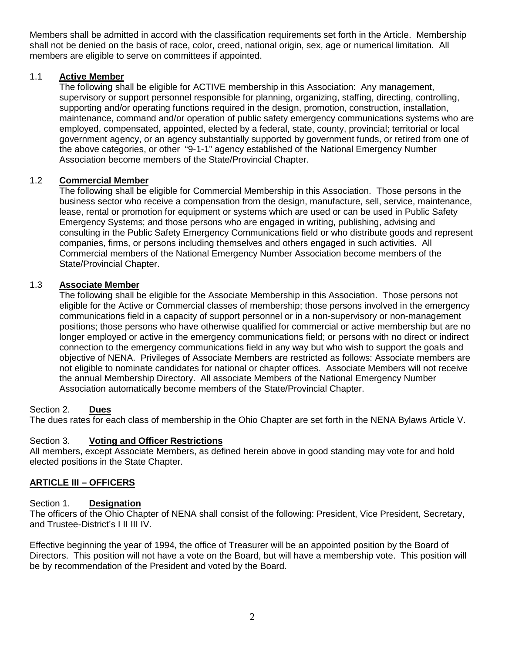Members shall be admitted in accord with the classification requirements set forth in the Article. Membership shall not be denied on the basis of race, color, creed, national origin, sex, age or numerical limitation. All members are eligible to serve on committees if appointed.

## 1.1 **Active Member**

The following shall be eligible for ACTIVE membership in this Association: Any management, supervisory or support personnel responsible for planning, organizing, staffing, directing, controlling, supporting and/or operating functions required in the design, promotion, construction, installation, maintenance, command and/or operation of public safety emergency communications systems who are employed, compensated, appointed, elected by a federal, state, county, provincial; territorial or local government agency, or an agency substantially supported by government funds, or retired from one of the above categories, or other "9-1-1" agency established of the National Emergency Number Association become members of the State/Provincial Chapter.

## 1.2 **Commercial Member**

The following shall be eligible for Commercial Membership in this Association. Those persons in the business sector who receive a compensation from the design, manufacture, sell, service, maintenance, lease, rental or promotion for equipment or systems which are used or can be used in Public Safety Emergency Systems; and those persons who are engaged in writing, publishing, advising and consulting in the Public Safety Emergency Communications field or who distribute goods and represent companies, firms, or persons including themselves and others engaged in such activities. All Commercial members of the National Emergency Number Association become members of the State/Provincial Chapter.

## 1.3 **Associate Member**

The following shall be eligible for the Associate Membership in this Association. Those persons not eligible for the Active or Commercial classes of membership; those persons involved in the emergency communications field in a capacity of support personnel or in a non-supervisory or non-management positions; those persons who have otherwise qualified for commercial or active membership but are no longer employed or active in the emergency communications field; or persons with no direct or indirect connection to the emergency communications field in any way but who wish to support the goals and objective of NENA. Privileges of Associate Members are restricted as follows: Associate members are not eligible to nominate candidates for national or chapter offices. Associate Members will not receive the annual Membership Directory. All associate Members of the National Emergency Number Association automatically become members of the State/Provincial Chapter.

## Section 2. **Dues**

The dues rates for each class of membership in the Ohio Chapter are set forth in the NENA Bylaws Article V.

## Section 3. **Voting and Officer Restrictions**

All members, except Associate Members, as defined herein above in good standing may vote for and hold elected positions in the State Chapter.

## **ARTICLE III – OFFICERS**

## Section 1. **Designation**

The officers of the Ohio Chapter of NENA shall consist of the following: President, Vice President, Secretary, and Trustee-District's I II III IV.

Effective beginning the year of 1994, the office of Treasurer will be an appointed position by the Board of Directors. This position will not have a vote on the Board, but will have a membership vote. This position will be by recommendation of the President and voted by the Board.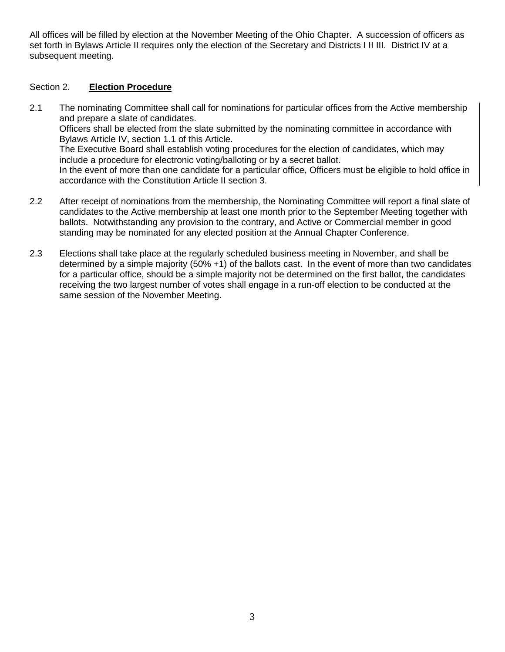All offices will be filled by election at the November Meeting of the Ohio Chapter. A succession of officers as set forth in Bylaws Article II requires only the election of the Secretary and Districts I II III. District IV at a subsequent meeting.

#### Section 2. **Election Procedure**

- 2.1 The nominating Committee shall call for nominations for particular offices from the Active membership and prepare a slate of candidates. Officers shall be elected from the slate submitted by the nominating committee in accordance with Bylaws Article IV, section 1.1 of this Article. The Executive Board shall establish voting procedures for the election of candidates, which may include a procedure for electronic voting/balloting or by a secret ballot. In the event of more than one candidate for a particular office, Officers must be eligible to hold office in accordance with the Constitution Article II section 3.
- 2.2 After receipt of nominations from the membership, the Nominating Committee will report a final slate of candidates to the Active membership at least one month prior to the September Meeting together with ballots. Notwithstanding any provision to the contrary, and Active or Commercial member in good standing may be nominated for any elected position at the Annual Chapter Conference.
- 2.3 Elections shall take place at the regularly scheduled business meeting in November, and shall be determined by a simple majority (50% +1) of the ballots cast. In the event of more than two candidates for a particular office, should be a simple majority not be determined on the first ballot, the candidates receiving the two largest number of votes shall engage in a run-off election to be conducted at the same session of the November Meeting.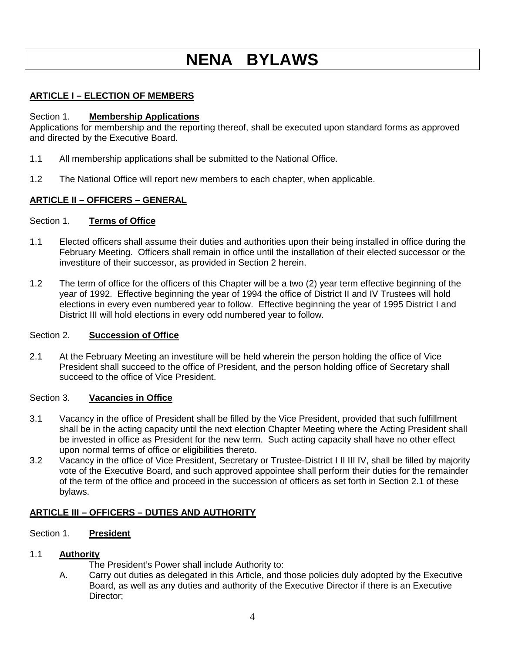# **NENA BYLAWS**

## **ARTICLE I – ELECTION OF MEMBERS**

#### Section 1. **Membership Applications**

Applications for membership and the reporting thereof, shall be executed upon standard forms as approved and directed by the Executive Board.

- 1.1 All membership applications shall be submitted to the National Office.
- 1.2 The National Office will report new members to each chapter, when applicable.

## **ARTICLE II – OFFICERS – GENERAL**

#### Section 1. **Terms of Office**

- 1.1 Elected officers shall assume their duties and authorities upon their being installed in office during the February Meeting. Officers shall remain in office until the installation of their elected successor or the investiture of their successor, as provided in Section 2 herein.
- 1.2 The term of office for the officers of this Chapter will be a two (2) year term effective beginning of the year of 1992. Effective beginning the year of 1994 the office of District II and IV Trustees will hold elections in every even numbered year to follow. Effective beginning the year of 1995 District I and District III will hold elections in every odd numbered year to follow.

#### Section 2. **Succession of Office**

2.1 At the February Meeting an investiture will be held wherein the person holding the office of Vice President shall succeed to the office of President, and the person holding office of Secretary shall succeed to the office of Vice President.

#### Section 3. **Vacancies in Office**

- 3.1 Vacancy in the office of President shall be filled by the Vice President, provided that such fulfillment shall be in the acting capacity until the next election Chapter Meeting where the Acting President shall be invested in office as President for the new term. Such acting capacity shall have no other effect upon normal terms of office or eligibilities thereto.
- 3.2 Vacancy in the office of Vice President, Secretary or Trustee-District I II III IV, shall be filled by majority vote of the Executive Board, and such approved appointee shall perform their duties for the remainder of the term of the office and proceed in the succession of officers as set forth in Section 2.1 of these bylaws.

## **ARTICLE III – OFFICERS – DUTIES AND AUTHORITY**

## Section 1. **President**

## 1.1 **Authority**

The President's Power shall include Authority to:

A. Carry out duties as delegated in this Article, and those policies duly adopted by the Executive Board, as well as any duties and authority of the Executive Director if there is an Executive Director: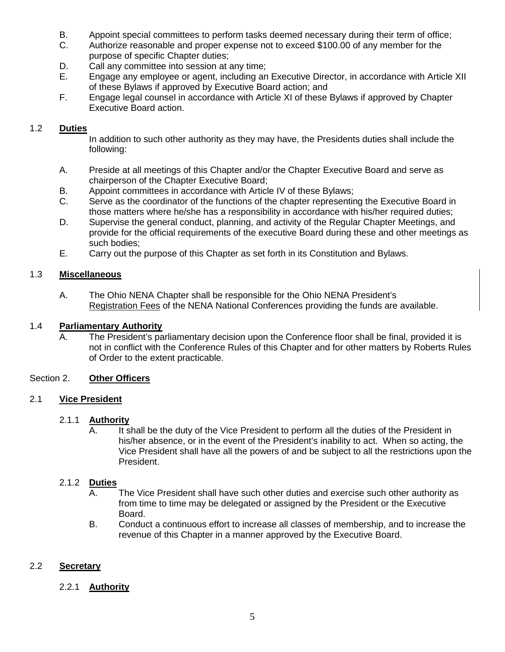- B. Appoint special committees to perform tasks deemed necessary during their term of office;<br>C. Authorize reasonable and proper expense not to exceed \$100.00 of any member for the
- Authorize reasonable and proper expense not to exceed \$100.00 of any member for the purpose of specific Chapter duties;
- D. Call any committee into session at any time;
- E. Engage any employee or agent, including an Executive Director, in accordance with Article XII of these Bylaws if approved by Executive Board action; and
- F. Engage legal counsel in accordance with Article XI of these Bylaws if approved by Chapter Executive Board action.

## 1.2 **Duties**

In addition to such other authority as they may have, the Presidents duties shall include the following:

- A. Preside at all meetings of this Chapter and/or the Chapter Executive Board and serve as chairperson of the Chapter Executive Board;
- B. Appoint committees in accordance with Article IV of these Bylaws;<br>C. Serve as the coordinator of the functions of the chapter representing
- Serve as the coordinator of the functions of the chapter representing the Executive Board in those matters where he/she has a responsibility in accordance with his/her required duties;
- D. Supervise the general conduct, planning, and activity of the Regular Chapter Meetings, and provide for the official requirements of the executive Board during these and other meetings as such bodies;
- E. Carry out the purpose of this Chapter as set forth in its Constitution and Bylaws.

## 1.3 **Miscellaneous**

A. The Ohio NENA Chapter shall be responsible for the Ohio NENA President's Registration Fees of the NENA National Conferences providing the funds are available.

## 1.4 **Parliamentary Authority**

A. The President's parliamentary decision upon the Conference floor shall be final, provided it is not in conflict with the Conference Rules of this Chapter and for other matters by Roberts Rules of Order to the extent practicable.

## Section 2. **Other Officers**

## 2.1 **Vice President**

# 2.1.1 **Authority**

It shall be the duty of the Vice President to perform all the duties of the President in his/her absence, or in the event of the President's inability to act. When so acting, the Vice President shall have all the powers of and be subject to all the restrictions upon the President.

## 2.1.2 **Duties**

- A. The Vice President shall have such other duties and exercise such other authority as from time to time may be delegated or assigned by the President or the Executive Board.
- B. Conduct a continuous effort to increase all classes of membership, and to increase the revenue of this Chapter in a manner approved by the Executive Board.

## 2.2 **Secretary**

## 2.2.1 **Authority**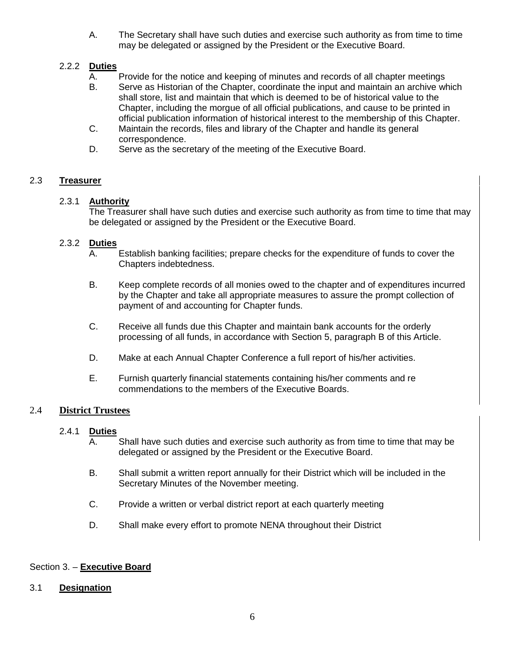A. The Secretary shall have such duties and exercise such authority as from time to time may be delegated or assigned by the President or the Executive Board.

# 2.2.2 **Duties**

- A. Provide for the notice and keeping of minutes and records of all chapter meetings<br>B. Serve as Historian of the Chapter, coordinate the input and maintain an archive wh
- Serve as Historian of the Chapter, coordinate the input and maintain an archive which shall store, list and maintain that which is deemed to be of historical value to the Chapter, including the morgue of all official publications, and cause to be printed in official publication information of historical interest to the membership of this Chapter.
- C. Maintain the records, files and library of the Chapter and handle its general correspondence.
- D. Serve as the secretary of the meeting of the Executive Board.

## 2.3 **Treasurer**

## 2.3.1 **Authority**

The Treasurer shall have such duties and exercise such authority as from time to time that may be delegated or assigned by the President or the Executive Board.

## 2.3.2 **Duties**

- A. Establish banking facilities; prepare checks for the expenditure of funds to cover the Chapters indebtedness.
- B. Keep complete records of all monies owed to the chapter and of expenditures incurred by the Chapter and take all appropriate measures to assure the prompt collection of payment of and accounting for Chapter funds.
- C. Receive all funds due this Chapter and maintain bank accounts for the orderly processing of all funds, in accordance with Section 5, paragraph B of this Article.
- D. Make at each Annual Chapter Conference a full report of his/her activities.
- E. Furnish quarterly financial statements containing his/her comments and re commendations to the members of the Executive Boards.

## 2.4 **District Trustees**

## 2.4.1 **Duties**

- A. Shall have such duties and exercise such authority as from time to time that may be delegated or assigned by the President or the Executive Board.
- B. Shall submit a written report annually for their District which will be included in the Secretary Minutes of the November meeting.
- C. Provide a written or verbal district report at each quarterly meeting
- D. Shall make every effort to promote NENA throughout their District

## Section 3. – **Executive Board**

## 3.1 **Designation**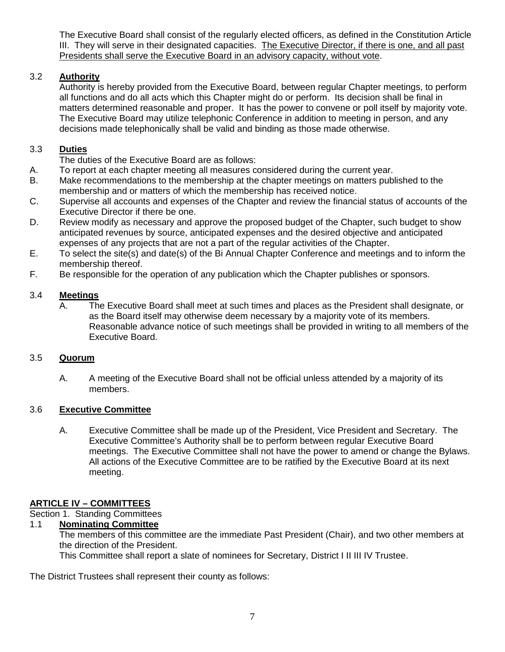The Executive Board shall consist of the regularly elected officers, as defined in the Constitution Article III. They will serve in their designated capacities. The Executive Director, if there is one, and all past Presidents shall serve the Executive Board in an advisory capacity, without vote.

## 3.2 **Authority**

Authority is hereby provided from the Executive Board, between regular Chapter meetings, to perform all functions and do all acts which this Chapter might do or perform. Its decision shall be final in matters determined reasonable and proper. It has the power to convene or poll itself by majority vote. The Executive Board may utilize telephonic Conference in addition to meeting in person, and any decisions made telephonically shall be valid and binding as those made otherwise.

# 3.3 **Duties**

The duties of the Executive Board are as follows:

- A. To report at each chapter meeting all measures considered during the current year.
- B. Make recommendations to the membership at the chapter meetings on matters published to the membership and or matters of which the membership has received notice.
- C. Supervise all accounts and expenses of the Chapter and review the financial status of accounts of the Executive Director if there be one.
- D. Review modify as necessary and approve the proposed budget of the Chapter, such budget to show anticipated revenues by source, anticipated expenses and the desired objective and anticipated expenses of any projects that are not a part of the regular activities of the Chapter.
- E. To select the site(s) and date(s) of the Bi Annual Chapter Conference and meetings and to inform the membership thereof.
- F. Be responsible for the operation of any publication which the Chapter publishes or sponsors.

## 3.4 **Meetings**

A. The Executive Board shall meet at such times and places as the President shall designate, or as the Board itself may otherwise deem necessary by a majority vote of its members. Reasonable advance notice of such meetings shall be provided in writing to all members of the Executive Board.

## 3.5 **Quorum**

A. A meeting of the Executive Board shall not be official unless attended by a majority of its members.

# 3.6 **Executive Committee**

A. Executive Committee shall be made up of the President, Vice President and Secretary. The Executive Committee's Authority shall be to perform between regular Executive Board meetings. The Executive Committee shall not have the power to amend or change the Bylaws. All actions of the Executive Committee are to be ratified by the Executive Board at its next meeting.

# **ARTICLE IV – COMMITTEES**

Section 1. Standing Committees

## 1.1 **Nominating Committee**

The members of this committee are the immediate Past President (Chair), and two other members at the direction of the President.

This Committee shall report a slate of nominees for Secretary, District I II III IV Trustee.

The District Trustees shall represent their county as follows: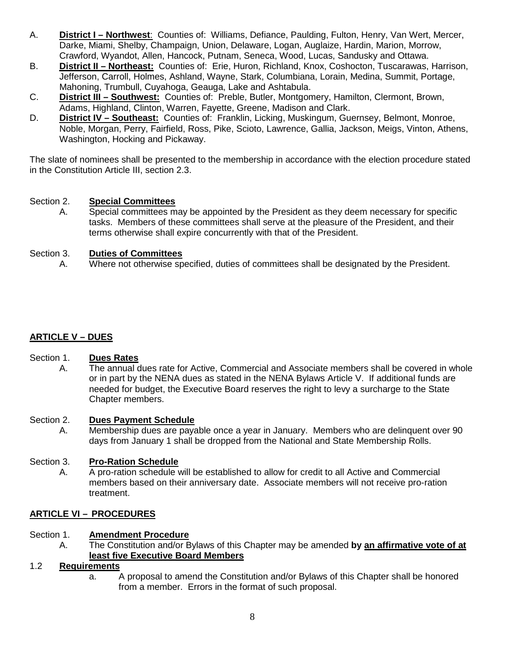- A. **District I – Northwest**: Counties of: Williams, Defiance, Paulding, Fulton, Henry, Van Wert, Mercer, Darke, Miami, Shelby, Champaign, Union, Delaware, Logan, Auglaize, Hardin, Marion, Morrow, Crawford, Wyandot, Allen, Hancock, Putnam, Seneca, Wood, Lucas, Sandusky and Ottawa.
- B. **District II – Northeast:** Counties of: Erie, Huron, Richland, Knox, Coshocton, Tuscarawas, Harrison, Jefferson, Carroll, Holmes, Ashland, Wayne, Stark, Columbiana, Lorain, Medina, Summit, Portage, Mahoning, Trumbull, Cuyahoga, Geauga, Lake and Ashtabula.
- C. **District III – Southwest:** Counties of: Preble, Butler, Montgomery, Hamilton, Clermont, Brown, Adams, Highland, Clinton, Warren, Fayette, Greene, Madison and Clark.
- D. **District IV – Southeast:** Counties of: Franklin, Licking, Muskingum, Guernsey, Belmont, Monroe, Noble, Morgan, Perry, Fairfield, Ross, Pike, Scioto, Lawrence, Gallia, Jackson, Meigs, Vinton, Athens, Washington, Hocking and Pickaway.

The slate of nominees shall be presented to the membership in accordance with the election procedure stated in the Constitution Article III, section 2.3.

## Section 2. **Special Committees**

A. Special committees may be appointed by the President as they deem necessary for specific tasks. Members of these committees shall serve at the pleasure of the President, and their terms otherwise shall expire concurrently with that of the President.

## Section 3. **Duties of Committees**

A. Where not otherwise specified, duties of committees shall be designated by the President.

## **ARTICLE V – DUES**

## Section 1. **Dues Rates**

A. The annual dues rate for Active, Commercial and Associate members shall be covered in whole or in part by the NENA dues as stated in the NENA Bylaws Article V. If additional funds are needed for budget, the Executive Board reserves the right to levy a surcharge to the State Chapter members.

## Section 2. **Dues Payment Schedule**

A. Membership dues are payable once a year in January. Members who are delinquent over 90 days from January 1 shall be dropped from the National and State Membership Rolls.

# Section 3. **Pro-Ration Schedule**

A. A pro-ration schedule will be established to allow for credit to all Active and Commercial members based on their anniversary date. Associate members will not receive pro-ration treatment.

## **ARTICLE VI – PROCEDURES**

# Section 1. **Amendment Procedure**

A. The Constitution and/or Bylaws of this Chapter may be amended **by an affirmative vote of at least five Executive Board Members**

## 1.2 **Requirements**

a. A proposal to amend the Constitution and/or Bylaws of this Chapter shall be honored from a member. Errors in the format of such proposal.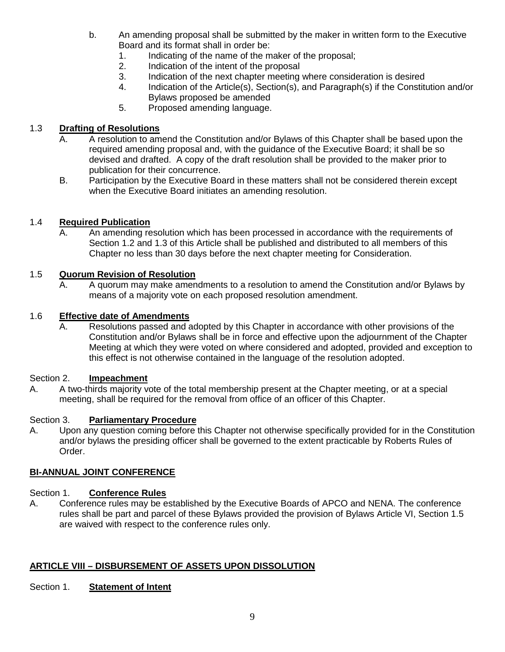- b. An amending proposal shall be submitted by the maker in written form to the Executive Board and its format shall in order be:
	- 1. Indicating of the name of the maker of the proposal;
	- 2. Indication of the intent of the proposal
	- 3. Indication of the next chapter meeting where consideration is desired
	- 4. Indication of the Article(s), Section(s), and Paragraph(s) if the Constitution and/or Bylaws proposed be amended
	- 5. Proposed amending language.

## 1.3 **Drafting of Resolutions**

- A. A resolution to amend the Constitution and/or Bylaws of this Chapter shall be based upon the required amending proposal and, with the guidance of the Executive Board; it shall be so devised and drafted. A copy of the draft resolution shall be provided to the maker prior to publication for their concurrence.
- B. Participation by the Executive Board in these matters shall not be considered therein except when the Executive Board initiates an amending resolution.

## 1.4 **Required Publication**

A. An amending resolution which has been processed in accordance with the requirements of Section 1.2 and 1.3 of this Article shall be published and distributed to all members of this Chapter no less than 30 days before the next chapter meeting for Consideration.

## 1.5 **Quorum Revision of Resolution**

A. A quorum may make amendments to a resolution to amend the Constitution and/or Bylaws by means of a majority vote on each proposed resolution amendment.

## 1.6 **Effective date of Amendments**

A. Resolutions passed and adopted by this Chapter in accordance with other provisions of the Constitution and/or Bylaws shall be in force and effective upon the adjournment of the Chapter Meeting at which they were voted on where considered and adopted, provided and exception to this effect is not otherwise contained in the language of the resolution adopted.

## Section 2. **Impeachment**

A. A two-thirds majority vote of the total membership present at the Chapter meeting, or at a special meeting, shall be required for the removal from office of an officer of this Chapter.

## Section 3. **Parliamentary Procedure**

A. Upon any question coming before this Chapter not otherwise specifically provided for in the Constitution and/or bylaws the presiding officer shall be governed to the extent practicable by Roberts Rules of Order.

## **BI-ANNUAL JOINT CONFERENCE**

## Section 1. **Conference Rules**

A. Conference rules may be established by the Executive Boards of APCO and NENA. The conference rules shall be part and parcel of these Bylaws provided the provision of Bylaws Article VI, Section 1.5 are waived with respect to the conference rules only.

## **ARTICLE VIII – DISBURSEMENT OF ASSETS UPON DISSOLUTION**

## Section 1. **Statement of Intent**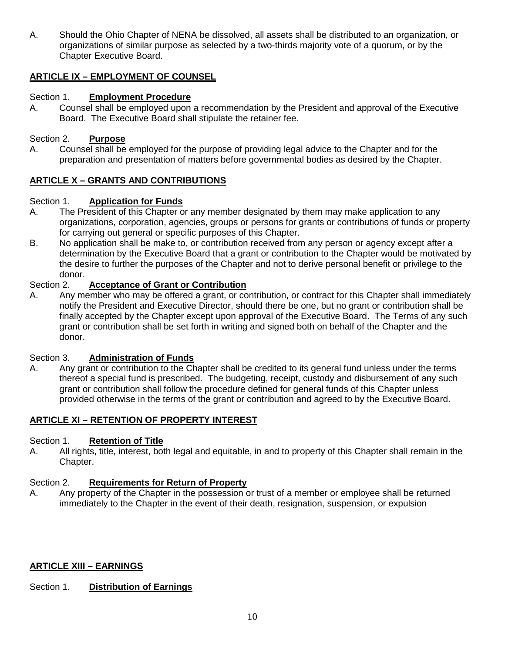A. Should the Ohio Chapter of NENA be dissolved, all assets shall be distributed to an organization, or organizations of similar purpose as selected by a two-thirds majority vote of a quorum, or by the Chapter Executive Board.

# **ARTICLE IX – EMPLOYMENT OF COUNSEL**

## Section 1. **Employment Procedure**

A. Counsel shall be employed upon a recommendation by the President and approval of the Executive Board. The Executive Board shall stipulate the retainer fee.

## Section 2. **Purpose**

A. Counsel shall be employed for the purpose of providing legal advice to the Chapter and for the preparation and presentation of matters before governmental bodies as desired by the Chapter.

## **ARTICLE X – GRANTS AND CONTRIBUTIONS**

## Section 1. **Application for Funds**

- A. The President of this Chapter or any member designated by them may make application to any organizations, corporation, agencies, groups or persons for grants or contributions of funds or property for carrying out general or specific purposes of this Chapter.
- B. No application shall be make to, or contribution received from any person or agency except after a determination by the Executive Board that a grant or contribution to the Chapter would be motivated by the desire to further the purposes of the Chapter and not to derive personal benefit or privilege to the donor.<br>Section 2.

## **Acceptance of Grant or Contribution**

A. Any member who may be offered a grant, or contribution, or contract for this Chapter shall immediately notify the President and Executive Director, should there be one, but no grant or contribution shall be finally accepted by the Chapter except upon approval of the Executive Board. The Terms of any such grant or contribution shall be set forth in writing and signed both on behalf of the Chapter and the donor.

## Section 3. **Administration of Funds**

A. Any grant or contribution to the Chapter shall be credited to its general fund unless under the terms thereof a special fund is prescribed. The budgeting, receipt, custody and disbursement of any such grant or contribution shall follow the procedure defined for general funds of this Chapter unless provided otherwise in the terms of the grant or contribution and agreed to by the Executive Board.

## **ARTICLE XI – RETENTION OF PROPERTY INTEREST**

## Section 1. **Retention of Title**

A. All rights, title, interest, both legal and equitable, in and to property of this Chapter shall remain in the Chapter.

## Section 2. **Requirements for Return of Property**

A. Any property of the Chapter in the possession or trust of a member or employee shall be returned immediately to the Chapter in the event of their death, resignation, suspension, or expulsion

## **ARTICLE XIII – EARNINGS**

## Section 1. **Distribution of Earnings**